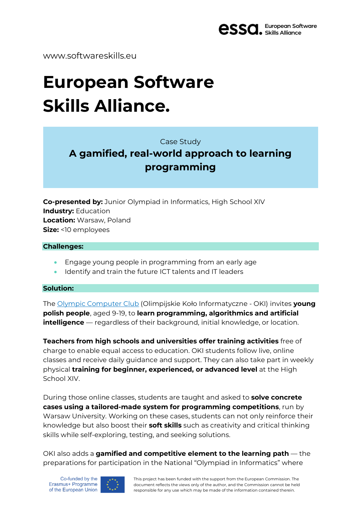

www.softwareskills.eu

# **European Software Skills Alliance.**

Case Study

## **A gamified, real-world approach to learning programming**

**Co-presented by:** Junior Olympiad in Informatics, High School XIV **Industry:** Education **Location:** Warsaw, Poland **Size:** <10 employees

#### **Challenges:**

- Engage young people in programming from an early age
- Identify and train the future ICT talents and IT leaders

#### **Solution:**

The Olympic [Computer](https://oki.org.pl/) Club (Olimpijskie Koło Informatyczne - OKI) invites **young polish people**, aged 9-19, to **learn programming, algorithmics and artificial intelligence** — regardless of their background, initial knowledge, or location.

**Teachers from high schools and universities offer training activities** free of charge to enable equal access to education. OKI students follow live, online classes and receive daily guidance and support. They can also take part in weekly physical **training for beginner, experienced, or advanced level** at the High School XIV.

During those online classes, students are taught and asked to **solve concrete cases using a tailored-made system for programming competitions**, run by Warsaw University. Working on these cases, students can not only reinforce their knowledge but also boost their **soft skills** such as creativity and critical thinking skills while self-exploring, testing, and seeking solutions.

OKI also adds a **gamified and competitive element to the learning path** — the preparations for participation in the National "Olympiad in Informatics" where

Co-funded by the Erasmus+ Programme of the European Union



This project has been funded with the support from the European Commission. The document reflects the views only of the author, and the Commission cannot be held responsible for any use which may be made of the information contained therein.